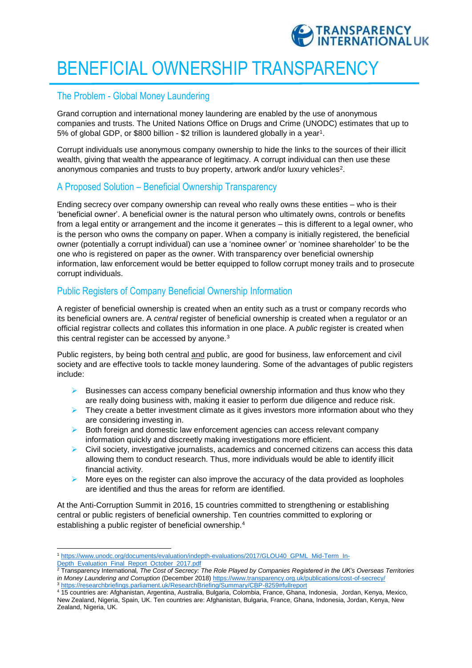

# BENEFICIAL OWNERSHIP TRANSPARENCY

## The Problem - Global Money Laundering

Grand corruption and international money laundering are enabled by the use of anonymous companies and trusts. The United Nations Office on Drugs and Crime (UNODC) estimates that up to 5% of global GDP, or \$800 billion - \$2 trillion is laundered globally in a year<sup>1</sup>.

Corrupt individuals use anonymous company ownership to hide the links to the sources of their illicit wealth, giving that wealth the appearance of legitimacy. A corrupt individual can then use these anonymous companies and trusts to buy property, artwork and/or luxury vehicles<sup>2</sup>.

# A Proposed Solution – Beneficial Ownership Transparency

Ending secrecy over company ownership can reveal who really owns these entities – who is their 'beneficial owner'. A beneficial owner is the natural person who ultimately owns, controls or benefits from a legal entity or arrangement and the income it generates – this is different to a legal owner, who is the person who owns the company on paper. When a company is initially registered, the beneficial owner (potentially a corrupt individual) can use a 'nominee owner' or 'nominee shareholder' to be the one who is registered on paper as the owner. With transparency over beneficial ownership information, law enforcement would be better equipped to follow corrupt money trails and to prosecute corrupt individuals.

# Public Registers of Company Beneficial Ownership Information

A register of beneficial ownership is created when an entity such as a trust or company records who its beneficial owners are. A *central* register of beneficial ownership is created when a regulator or an official registrar collects and collates this information in one place. A *public* register is created when this central register can be accessed by anyone.<sup>3</sup>

Public registers, by being both central and public, are good for business, law enforcement and civil society and are effective tools to tackle money laundering. Some of the advantages of public registers include:

- Businesses can access company beneficial ownership information and thus know who they are really doing business with, making it easier to perform due diligence and reduce risk.
- $\triangleright$  They create a better investment climate as it gives investors more information about who they are considering investing in.
- $\triangleright$  Both foreign and domestic law enforcement agencies can access relevant company information quickly and discreetly making investigations more efficient.
- $\triangleright$  Civil society, investigative journalists, academics and concerned citizens can access this data allowing them to conduct research. Thus, more individuals would be able to identify illicit financial activity.
- $\triangleright$  More eyes on the register can also improve the accuracy of the data provided as loopholes are identified and thus the areas for reform are identified.

At the Anti-Corruption Summit in 2016, 15 countries committed to strengthening or establishing central or public registers of beneficial ownership. Ten countries committed to exploring or establishing a public register of beneficial ownership.<sup>4</sup>

 $\overline{a}$ <sup>1</sup> [https://www.unodc.org/documents/evaluation/indepth-evaluations/2017/GLOU40\\_GPML\\_Mid-Term\\_In-](https://www.unodc.org/documents/evaluation/indepth-evaluations/2017/GLOU40_GPML_Mid-Term_In-Depth_Evaluation_Final_Report_October_2017.pdf)[Depth\\_Evaluation\\_Final\\_Report\\_October\\_2017.pdf](https://www.unodc.org/documents/evaluation/indepth-evaluations/2017/GLOU40_GPML_Mid-Term_In-Depth_Evaluation_Final_Report_October_2017.pdf)

<sup>2</sup> Transparency International*, The Cost of Secrecy: The Role Played by Companies Registered in the UK's Overseas Territories in Money Laundering and Corruption* (December 2018[\) https://www.transparency.org.uk/publications/cost-of-secrecy/](https://www.transparency.org.uk/publications/cost-of-secrecy/) <sup>3</sup> <https://researchbriefings.parliament.uk/ResearchBriefing/Summary/CBP-8259#fullreport>

<sup>4</sup> 15 countries are: Afghanistan, Argentina, Australia, Bulgaria, Colombia, France, Ghana, Indonesia, Jordan, Kenya, Mexico, New Zealand, Nigeria, Spain, UK. Ten countries are: Afghanistan, Bulgaria, France, Ghana, Indonesia, Jordan, Kenya, New Zealand, Nigeria, UK.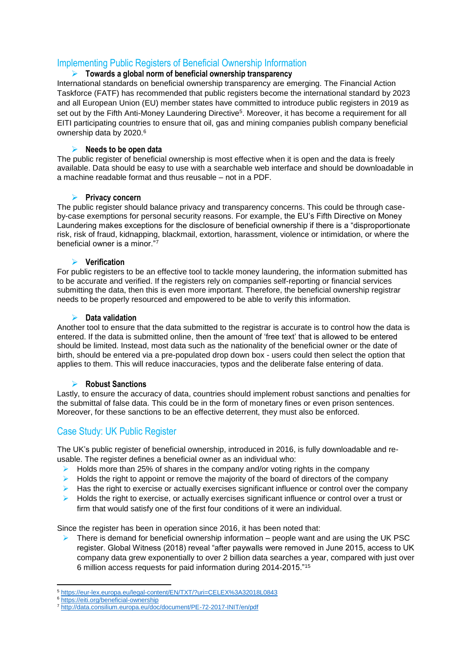# Implementing Public Registers of Beneficial Ownership Information

#### **Towards a global norm of beneficial ownership transparency**

International standards on beneficial ownership transparency are emerging. The Financial Action Taskforce (FATF) has recommended that public registers become the international standard by 2023 and all European Union (EU) member states have committed to introduce public registers in 2019 as set out by the Fifth Anti-Money Laundering Directive<sup>5</sup>. Moreover, it has become a requirement for all EITI participating countries to ensure that oil, gas and mining companies publish company beneficial ownership data by 2020.<sup>6</sup>

#### **Needs to be open data**

The public register of beneficial ownership is most effective when it is open and the data is freely available. Data should be easy to use with a searchable web interface and should be downloadable in a machine readable format and thus reusable – not in a PDF.

#### **Privacy concern**

The public register should balance privacy and transparency concerns. This could be through caseby-case exemptions for personal security reasons. For example, the EU's Fifth Directive on Money Laundering makes exceptions for the disclosure of beneficial ownership if there is a "disproportionate risk, risk of fraud, kidnapping, blackmail, extortion, harassment, violence or intimidation, or where the beneficial owner is a minor."<sup>7</sup>

#### **Verification**

For public registers to be an effective tool to tackle money laundering, the information submitted has to be accurate and verified. If the registers rely on companies self-reporting or financial services submitting the data, then this is even more important. Therefore, the beneficial ownership registrar needs to be properly resourced and empowered to be able to verify this information.

#### **Data validation**

Another tool to ensure that the data submitted to the registrar is accurate is to control how the data is entered. If the data is submitted online, then the amount of 'free text' that is allowed to be entered should be limited. Instead, most data such as the nationality of the beneficial owner or the date of birth, should be entered via a pre-populated drop down box - users could then select the option that applies to them. This will reduce inaccuracies, typos and the deliberate false entering of data.

#### **Robust Sanctions**

Lastly, to ensure the accuracy of data, countries should implement robust sanctions and penalties for the submittal of false data. This could be in the form of monetary fines or even prison sentences. Moreover, for these sanctions to be an effective deterrent, they must also be enforced.

# Case Study: UK Public Register

The UK's public register of beneficial ownership, introduced in 2016, is fully downloadable and reusable. The register defines a beneficial owner as an individual who:

- $\blacktriangleright$  Holds more than 25% of shares in the company and/or voting rights in the company
- $\triangleright$  Holds the right to appoint or remove the majority of the board of directors of the company
- $\triangleright$  Has the right to exercise or actually exercises significant influence or control over the company
- $\triangleright$  Holds the right to exercise, or actually exercises significant influence or control over a trust or firm that would satisfy one of the first four conditions of it were an individual.

Since the register has been in operation since 2016, it has been noted that:

 $\triangleright$  There is demand for beneficial ownership information – people want and are using the UK PSC register. Global Witness (2018) reveal "after paywalls were removed in June 2015, access to UK company data grew exponentially to over 2 billion data searches a year, compared with just over 6 million access requests for paid information during 2014-2015."<sup>15</sup>

**<sup>.</sup>** <sup>5</sup> <https://eur-lex.europa.eu/legal-content/EN/TXT/?uri=CELEX%3A32018L0843>

<sup>6</sup> <https://eiti.org/beneficial-ownership>

<sup>7</sup> <http://data.consilium.europa.eu/doc/document/PE-72-2017-INIT/en/pdf>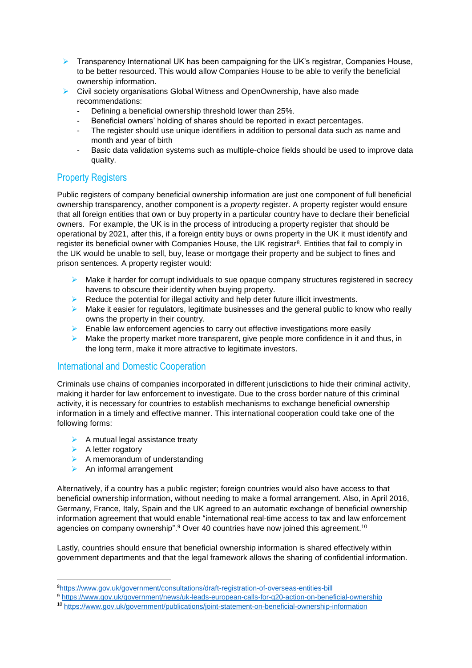- $\triangleright$  Transparency International UK has been campaigning for the UK's registrar, Companies House, to be better resourced. This would allow Companies House to be able to verify the beneficial ownership information.
- ▶ Civil society organisations Global Witness and OpenOwnership, have also made recommendations:
	- Defining a beneficial ownership threshold lower than 25%.
	- Beneficial owners' holding of shares should be reported in exact percentages.
	- The register should use unique identifiers in addition to personal data such as name and month and year of birth
	- Basic data validation systems such as multiple-choice fields should be used to improve data quality.

# Property Registers

Public registers of company beneficial ownership information are just one component of full beneficial ownership transparency, another component is a *property* register. A property register would ensure that all foreign entities that own or buy property in a particular country have to declare their beneficial owners. For example, the UK is in the process of introducing a property register that should be operational by 2021, after this, if a foreign entity buys or owns property in the UK it must identify and register its beneficial owner with Companies House, the UK registrar<sup>8</sup>. Entities that fail to comply in the UK would be unable to sell, buy, lease or mortgage their property and be subject to fines and prison sentences. A property register would:

- $\triangleright$  Make it harder for corrupt individuals to sue opaque company structures registered in secrecy havens to obscure their identity when buying property.
- $\triangleright$  Reduce the potential for illegal activity and help deter future illicit investments.
- $\triangleright$  Make it easier for regulators, legitimate businesses and the general public to know who really owns the property in their country.
- $\triangleright$  Enable law enforcement agencies to carry out effective investigations more easily
- Make the property market more transparent, give people more confidence in it and thus, in the long term, make it more attractive to legitimate investors.

## International and Domestic Cooperation

Criminals use chains of companies incorporated in different jurisdictions to hide their criminal activity, making it harder for law enforcement to investigate. Due to the cross border nature of this criminal activity, it is necessary for countries to establish mechanisms to exchange beneficial ownership information in a timely and effective manner. This international cooperation could take one of the following forms:

- $\triangleright$  A mutual legal assistance treaty
- $\triangleright$  A letter rogatory

**.** 

- $\triangleright$  A memorandum of understanding
- $\triangleright$  An informal arrangement

Alternatively, if a country has a public register; foreign countries would also have access to that beneficial ownership information, without needing to make a formal arrangement. Also, in April 2016, Germany, France, Italy, Spain and the UK agreed to an automatic exchange of beneficial ownership information agreement that would enable "international real-time access to tax and law enforcement agencies on company ownership".<sup>9</sup> Over 40 countries have now joined this agreement.<sup>10</sup>

Lastly, countries should ensure that beneficial ownership information is shared effectively within government departments and that the legal framework allows the sharing of confidential information.

<sup>8</sup><https://www.gov.uk/government/consultations/draft-registration-of-overseas-entities-bill>

<sup>9</sup> <https://www.gov.uk/government/news/uk-leads-european-calls-for-g20-action-on-beneficial-ownership>

<sup>10</sup> <https://www.gov.uk/government/publications/joint-statement-on-beneficial-ownership-information>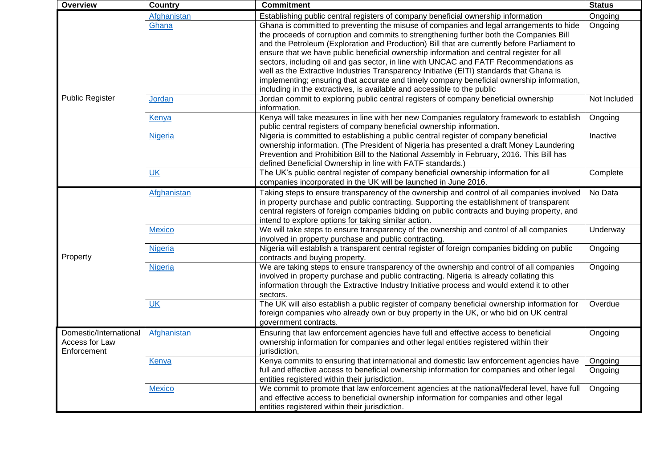| <b>Overview</b>        | Country        | <b>Commitment</b>                                                                            | <b>Status</b> |
|------------------------|----------------|----------------------------------------------------------------------------------------------|---------------|
| <b>Public Register</b> | Afghanistan    | Establishing public central registers of company beneficial ownership information            | Ongoing       |
|                        | Ghana          | Ghana is committed to preventing the misuse of companies and legal arrangements to hide      | Ongoing       |
|                        |                | the proceeds of corruption and commits to strengthening further both the Companies Bill      |               |
|                        |                | and the Petroleum (Exploration and Production) Bill that are currently before Parliament to  |               |
|                        |                | ensure that we have public beneficial ownership information and central register for all     |               |
|                        |                | sectors, including oil and gas sector, in line with UNCAC and FATF Recommendations as        |               |
|                        |                | well as the Extractive Industries Transparency Initiative (EITI) standards that Ghana is     |               |
|                        |                | implementing; ensuring that accurate and timely company beneficial ownership information,    |               |
|                        |                | including in the extractives, is available and accessible to the public                      |               |
|                        | Jordan         | Jordan commit to exploring public central registers of company beneficial ownership          | Not Included  |
|                        |                | information.                                                                                 |               |
|                        | Kenya          | Kenya will take measures in line with her new Companies regulatory framework to establish    | Ongoing       |
|                        |                | public central registers of company beneficial ownership information.                        |               |
|                        | <b>Nigeria</b> | Nigeria is committed to establishing a public central register of company beneficial         | Inactive      |
|                        |                | ownership information. (The President of Nigeria has presented a draft Money Laundering      |               |
|                        |                | Prevention and Prohibition Bill to the National Assembly in February, 2016. This Bill has    |               |
|                        |                | defined Beneficial Ownership in line with FATF standards.)                                   |               |
|                        | <b>UK</b>      | The UK's public central register of company beneficial ownership information for all         | Complete      |
|                        |                | companies incorporated in the UK will be launched in June 2016.                              |               |
|                        | Afghanistan    | Taking steps to ensure transparency of the ownership and control of all companies involved   | No Data       |
|                        |                | in property purchase and public contracting. Supporting the establishment of transparent     |               |
|                        |                | central registers of foreign companies bidding on public contracts and buying property, and  |               |
|                        |                | intend to explore options for taking similar action.                                         |               |
|                        | <b>Mexico</b>  | We will take steps to ensure transparency of the ownership and control of all companies      | Underway      |
|                        |                | involved in property purchase and public contracting.                                        |               |
| Property               | <b>Nigeria</b> | Nigeria will establish a transparent central register of foreign companies bidding on public | Ongoing       |
|                        |                | contracts and buying property.                                                               |               |
|                        | <b>Nigeria</b> | We are taking steps to ensure transparency of the ownership and control of all companies     | Ongoing       |
|                        |                | involved in property purchase and public contracting. Nigeria is already collating this      |               |
|                        |                | information through the Extractive Industry Initiative process and would extend it to other  |               |
|                        |                | sectors.                                                                                     |               |
|                        | <b>UK</b>      | The UK will also establish a public register of company beneficial ownership information for | Overdue       |
|                        |                | foreign companies who already own or buy property in the UK, or who bid on UK central        |               |
|                        |                | government contracts.                                                                        |               |
| Domestic/International | Afghanistan    | Ensuring that law enforcement agencies have full and effective access to beneficial          | Ongoing       |
| Access for Law         |                | ownership information for companies and other legal entities registered within their         |               |
| Enforcement            |                | jurisdiction,                                                                                |               |
|                        | Kenya          | Kenya commits to ensuring that international and domestic law enforcement agencies have      | Ongoing       |
|                        |                | full and effective access to beneficial ownership information for companies and other legal  | Ongoing       |
|                        |                | entities registered within their jurisdiction.                                               |               |
|                        | <b>Mexico</b>  | We commit to promote that law enforcement agencies at the national/federal level, have full  | Ongoing       |
|                        |                | and effective access to beneficial ownership information for companies and other legal       |               |
|                        |                | entities registered within their jurisdiction.                                               |               |